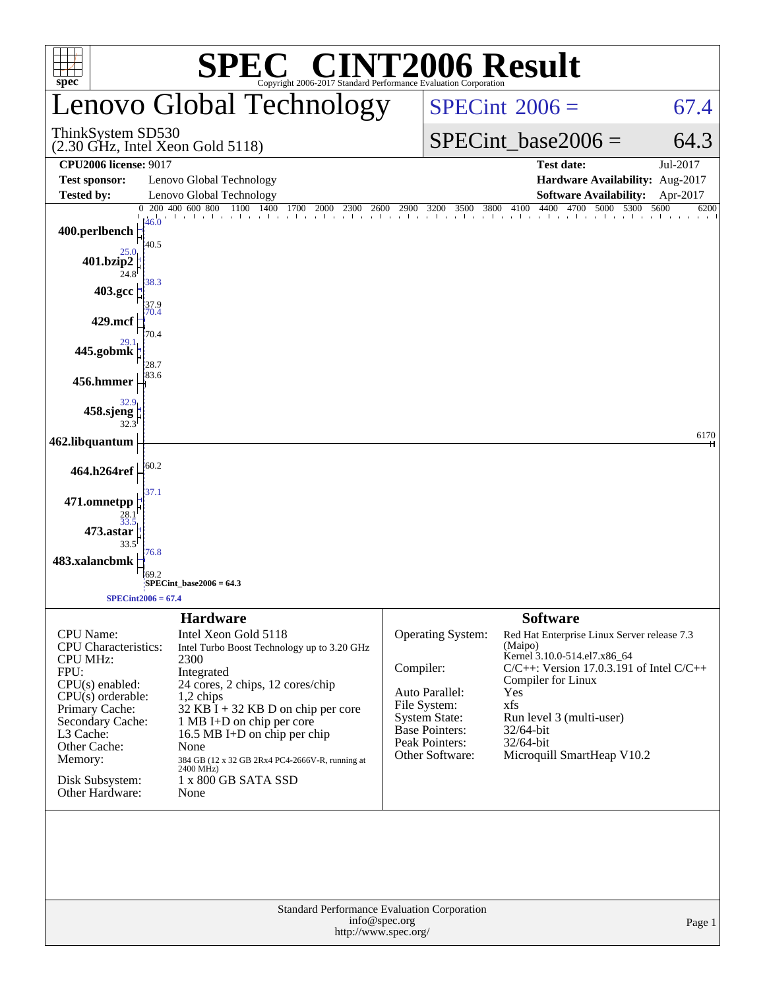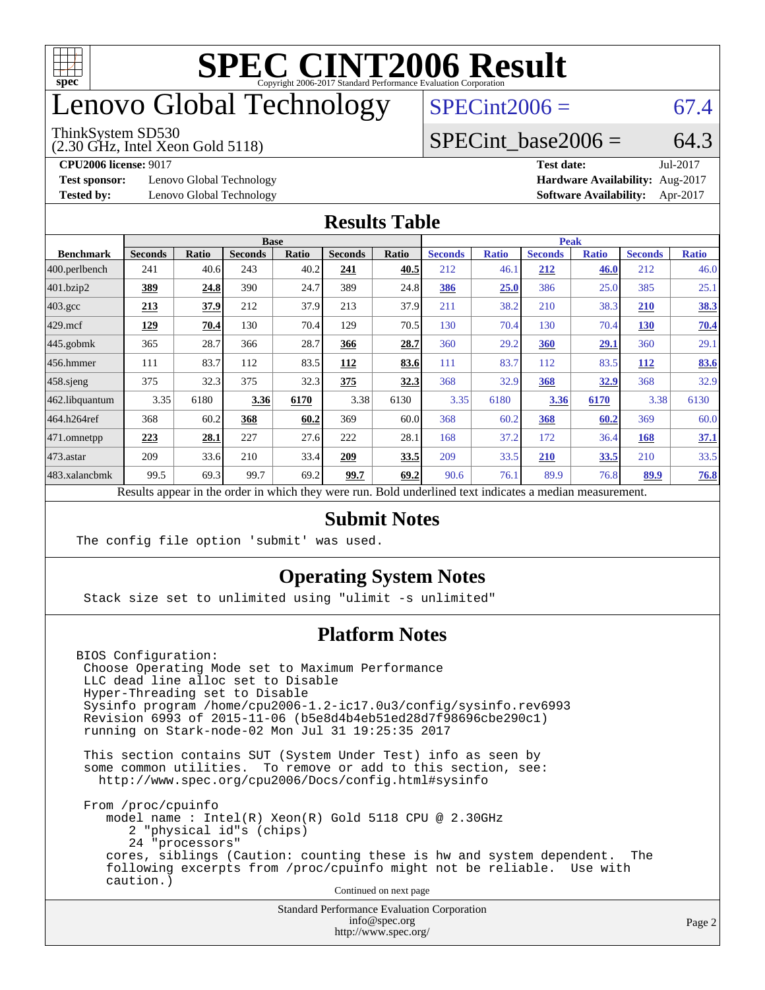

## enovo Global Technology

#### ThinkSystem SD530

(2.30 GHz, Intel Xeon Gold 5118)

 $SPECint2006 = 67.4$  $SPECint2006 = 67.4$ 

### SPECint base2006 =  $64.3$

**[Test sponsor:](http://www.spec.org/auto/cpu2006/Docs/result-fields.html#Testsponsor)** Lenovo Global Technology **[Hardware Availability:](http://www.spec.org/auto/cpu2006/Docs/result-fields.html#HardwareAvailability)** Aug-2017

**[CPU2006 license:](http://www.spec.org/auto/cpu2006/Docs/result-fields.html#CPU2006license)** 9017 **[Test date:](http://www.spec.org/auto/cpu2006/Docs/result-fields.html#Testdate)** Jul-2017 **[Tested by:](http://www.spec.org/auto/cpu2006/Docs/result-fields.html#Testedby)** Lenovo Global Technology **[Software Availability:](http://www.spec.org/auto/cpu2006/Docs/result-fields.html#SoftwareAvailability)** Apr-2017

#### **[Results Table](http://www.spec.org/auto/cpu2006/Docs/result-fields.html#ResultsTable)**

|                                                                                                          | <b>Base</b>    |              |                |              |                |       | <b>Peak</b>    |              |                |              |                |              |
|----------------------------------------------------------------------------------------------------------|----------------|--------------|----------------|--------------|----------------|-------|----------------|--------------|----------------|--------------|----------------|--------------|
| <b>Benchmark</b>                                                                                         | <b>Seconds</b> | <b>Ratio</b> | <b>Seconds</b> | <b>Ratio</b> | <b>Seconds</b> | Ratio | <b>Seconds</b> | <b>Ratio</b> | <b>Seconds</b> | <b>Ratio</b> | <b>Seconds</b> | <b>Ratio</b> |
| 400.perlbench                                                                                            | 241            | 40.6         | 243            | 40.2         | 241            | 40.5  | 212            | 46.1         | 212            | 46.0         | 212            | 46.0         |
| 401.bzip2                                                                                                | 389            | 24.8         | 390            | 24.7         | 389            | 24.8  | 386            | 25.0         | 386            | 25.0         | 385            | 25.1         |
| $403.\text{gcc}$                                                                                         | 213            | 37.9         | 212            | 37.9         | 213            | 37.9  | 211            | 38.2         | 210            | 38.3         | 210            | <u>38.3</u>  |
| $429$ .mcf                                                                                               | 129            | 70.4         | 130            | 70.4         | 129            | 70.5  | 130            | 70.4         | 130            | 70.4         | <b>130</b>     | 70.4         |
| $445$ .gobmk                                                                                             | 365            | 28.7         | 366            | 28.7         | 366            | 28.7  | 360            | 29.2         | 360            | 29.1         | 360            | 29.1         |
| 456.hmmer                                                                                                | 111            | 83.7         | 112            | 83.5         | 112            | 83.6  | 111            | 83.7         | 112            | 83.5         | 112            | 83.6         |
| $458$ .sjeng                                                                                             | 375            | 32.3         | 375            | 32.3         | 375            | 32.3  | 368            | 32.9         | 368            | <u>32.9</u>  | 368            | 32.9         |
| 462.libquantum                                                                                           | 3.35           | 6180         | 3.36           | 6170         | 3.38           | 6130  | 3.35           | 6180         | 3.36           | 6170         | 3.38           | 6130         |
| 464.h264ref                                                                                              | 368            | 60.2         | 368            | 60.2         | 369            | 60.0  | 368            | 60.2         | 368            | 60.2         | 369            | 60.0         |
| 471.omnetpp                                                                                              | 223            | 28.1         | 227            | 27.6         | 222            | 28.1  | 168            | 37.2         | 172            | 36.4         | 168            | 37.1         |
| $473$ . astar                                                                                            | 209            | 33.6         | 210            | 33.4         | 209            | 33.5  | 209            | 33.5         | 210            | 33.5         | 210            | 33.5         |
| 483.xalancbmk                                                                                            | 99.5           | 69.3         | 99.7           | 69.2         | 99.7           | 69.2  | 90.6           | 76.1         | 89.9           | 76.8         | 89.9           | 76.8         |
| Results appear in the order in which they were run. Bold underlined text indicates a median measurement. |                |              |                |              |                |       |                |              |                |              |                |              |

#### **[Submit Notes](http://www.spec.org/auto/cpu2006/Docs/result-fields.html#SubmitNotes)**

The config file option 'submit' was used.

### **[Operating System Notes](http://www.spec.org/auto/cpu2006/Docs/result-fields.html#OperatingSystemNotes)**

Stack size set to unlimited using "ulimit -s unlimited"

### **[Platform Notes](http://www.spec.org/auto/cpu2006/Docs/result-fields.html#PlatformNotes)**

BIOS Configuration: Choose Operating Mode set to Maximum Performance LLC dead line alloc set to Disable Hyper-Threading set to Disable Sysinfo program /home/cpu2006-1.2-ic17.0u3/config/sysinfo.rev6993 Revision 6993 of 2015-11-06 (b5e8d4b4eb51ed28d7f98696cbe290c1) running on Stark-node-02 Mon Jul 31 19:25:35 2017

 This section contains SUT (System Under Test) info as seen by some common utilities. To remove or add to this section, see: <http://www.spec.org/cpu2006/Docs/config.html#sysinfo>

 From /proc/cpuinfo model name : Intel(R) Xeon(R) Gold 5118 CPU @ 2.30GHz 2 "physical id"s (chips) 24 "processors" cores, siblings (Caution: counting these is hw and system dependent. The following excerpts from /proc/cpuinfo might not be reliable. Use with caution.)

Continued on next page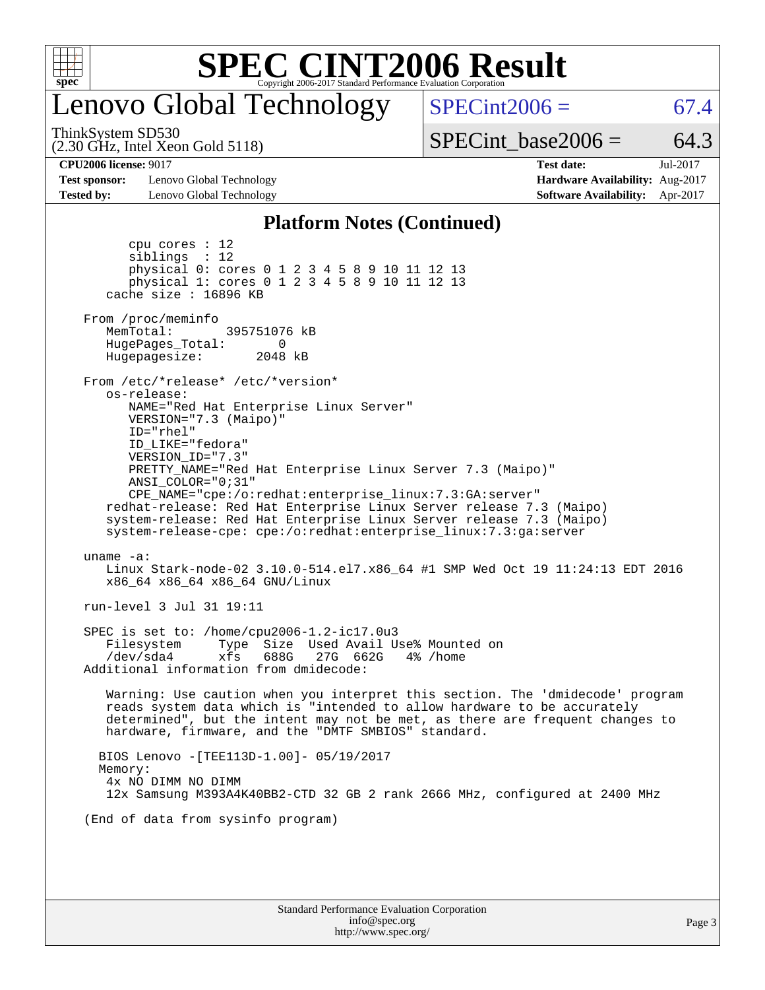

## enovo Global Technology

 $SPECint2006 = 67.4$  $SPECint2006 = 67.4$ 

ThinkSystem SD530

(2.30 GHz, Intel Xeon Gold 5118)

SPECint base2006 =  $64.3$ 

**[Test sponsor:](http://www.spec.org/auto/cpu2006/Docs/result-fields.html#Testsponsor)** Lenovo Global Technology **[Hardware Availability:](http://www.spec.org/auto/cpu2006/Docs/result-fields.html#HardwareAvailability)** Aug-2017 **[Tested by:](http://www.spec.org/auto/cpu2006/Docs/result-fields.html#Testedby)** Lenovo Global Technology **[Software Availability:](http://www.spec.org/auto/cpu2006/Docs/result-fields.html#SoftwareAvailability)** Apr-2017

**[CPU2006 license:](http://www.spec.org/auto/cpu2006/Docs/result-fields.html#CPU2006license)** 9017 **[Test date:](http://www.spec.org/auto/cpu2006/Docs/result-fields.html#Testdate)** Jul-2017

#### **[Platform Notes \(Continued\)](http://www.spec.org/auto/cpu2006/Docs/result-fields.html#PlatformNotes)**

Standard Performance Evaluation Corporation [info@spec.org](mailto:info@spec.org) Page 3 cpu cores : 12 siblings : 12 physical 0: cores 0 1 2 3 4 5 8 9 10 11 12 13 physical 1: cores 0 1 2 3 4 5 8 9 10 11 12 13 cache size : 16896 KB From /proc/meminfo MemTotal: 395751076 kB HugePages\_Total: 0<br>Hugepagesize: 2048 kB Hugepagesize: From /etc/\*release\* /etc/\*version\* os-release: NAME="Red Hat Enterprise Linux Server" VERSION="7.3 (Maipo)" ID="rhel" ID\_LIKE="fedora" VERSION\_ID="7.3" PRETTY\_NAME="Red Hat Enterprise Linux Server 7.3 (Maipo)" ANSI\_COLOR="0;31" CPE\_NAME="cpe:/o:redhat:enterprise\_linux:7.3:GA:server" redhat-release: Red Hat Enterprise Linux Server release 7.3 (Maipo) system-release: Red Hat Enterprise Linux Server release 7.3 (Maipo) system-release-cpe: cpe:/o:redhat:enterprise\_linux:7.3:ga:server uname -a: Linux Stark-node-02 3.10.0-514.el7.x86\_64 #1 SMP Wed Oct 19 11:24:13 EDT 2016 x86\_64 x86\_64 x86\_64 GNU/Linux run-level 3 Jul 31 19:11 SPEC is set to: /home/cpu2006-1.2-ic17.0u3 Filesystem Type Size Used Avail Use% Mounted on /dev/sda4 xfs 688G 27G 662G 4% /home Additional information from dmidecode: Warning: Use caution when you interpret this section. The 'dmidecode' program reads system data which is "intended to allow hardware to be accurately determined", but the intent may not be met, as there are frequent changes to hardware, firmware, and the "DMTF SMBIOS" standard. BIOS Lenovo -[TEE113D-1.00]- 05/19/2017 Memory: 4x NO DIMM NO DIMM 12x Samsung M393A4K40BB2-CTD 32 GB 2 rank 2666 MHz, configured at 2400 MHz (End of data from sysinfo program)

<http://www.spec.org/>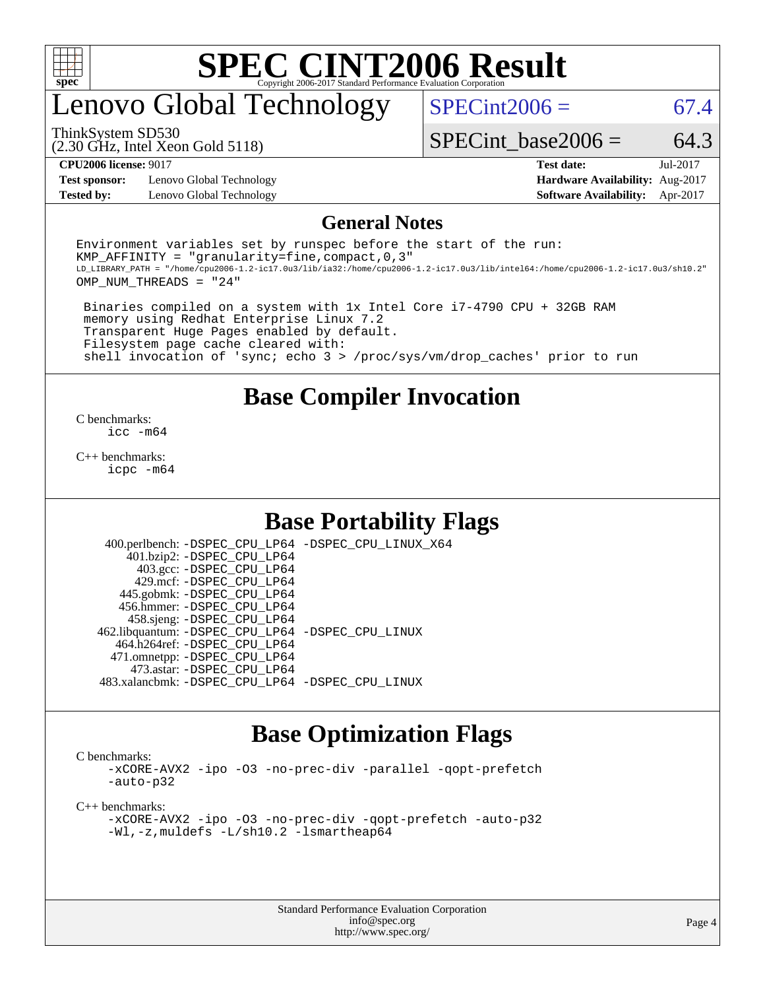

## enovo Global Technology

 $SPECint2006 = 67.4$  $SPECint2006 = 67.4$ 

(2.30 GHz, Intel Xeon Gold 5118) ThinkSystem SD530

SPECint base2006 =  $64.3$ 

**[Test sponsor:](http://www.spec.org/auto/cpu2006/Docs/result-fields.html#Testsponsor)** Lenovo Global Technology **[Hardware Availability:](http://www.spec.org/auto/cpu2006/Docs/result-fields.html#HardwareAvailability)** Aug-2017

**[CPU2006 license:](http://www.spec.org/auto/cpu2006/Docs/result-fields.html#CPU2006license)** 9017 **[Test date:](http://www.spec.org/auto/cpu2006/Docs/result-fields.html#Testdate)** Jul-2017 **[Tested by:](http://www.spec.org/auto/cpu2006/Docs/result-fields.html#Testedby)** Lenovo Global Technology **[Software Availability:](http://www.spec.org/auto/cpu2006/Docs/result-fields.html#SoftwareAvailability)** Apr-2017

#### **[General Notes](http://www.spec.org/auto/cpu2006/Docs/result-fields.html#GeneralNotes)**

Environment variables set by runspec before the start of the run: KMP AFFINITY = "granularity=fine, compact,  $0,3$ " LD\_LIBRARY\_PATH = "/home/cpu2006-1.2-ic17.0u3/lib/ia32:/home/cpu2006-1.2-ic17.0u3/lib/intel64:/home/cpu2006-1.2-ic17.0u3/sh10.2" OMP\_NUM\_THREADS = "24"

 Binaries compiled on a system with 1x Intel Core i7-4790 CPU + 32GB RAM memory using Redhat Enterprise Linux 7.2 Transparent Huge Pages enabled by default. Filesystem page cache cleared with: shell invocation of 'sync; echo 3 > /proc/sys/vm/drop\_caches' prior to run

### **[Base Compiler Invocation](http://www.spec.org/auto/cpu2006/Docs/result-fields.html#BaseCompilerInvocation)**

[C benchmarks](http://www.spec.org/auto/cpu2006/Docs/result-fields.html#Cbenchmarks): [icc -m64](http://www.spec.org/cpu2006/results/res2017q4/cpu2006-20170918-49615.flags.html#user_CCbase_intel_icc_64bit_bda6cc9af1fdbb0edc3795bac97ada53)

[C++ benchmarks:](http://www.spec.org/auto/cpu2006/Docs/result-fields.html#CXXbenchmarks) [icpc -m64](http://www.spec.org/cpu2006/results/res2017q4/cpu2006-20170918-49615.flags.html#user_CXXbase_intel_icpc_64bit_fc66a5337ce925472a5c54ad6a0de310)

### **[Base Portability Flags](http://www.spec.org/auto/cpu2006/Docs/result-fields.html#BasePortabilityFlags)**

 400.perlbench: [-DSPEC\\_CPU\\_LP64](http://www.spec.org/cpu2006/results/res2017q4/cpu2006-20170918-49615.flags.html#b400.perlbench_basePORTABILITY_DSPEC_CPU_LP64) [-DSPEC\\_CPU\\_LINUX\\_X64](http://www.spec.org/cpu2006/results/res2017q4/cpu2006-20170918-49615.flags.html#b400.perlbench_baseCPORTABILITY_DSPEC_CPU_LINUX_X64) 401.bzip2: [-DSPEC\\_CPU\\_LP64](http://www.spec.org/cpu2006/results/res2017q4/cpu2006-20170918-49615.flags.html#suite_basePORTABILITY401_bzip2_DSPEC_CPU_LP64) 403.gcc: [-DSPEC\\_CPU\\_LP64](http://www.spec.org/cpu2006/results/res2017q4/cpu2006-20170918-49615.flags.html#suite_basePORTABILITY403_gcc_DSPEC_CPU_LP64) 429.mcf: [-DSPEC\\_CPU\\_LP64](http://www.spec.org/cpu2006/results/res2017q4/cpu2006-20170918-49615.flags.html#suite_basePORTABILITY429_mcf_DSPEC_CPU_LP64) 445.gobmk: [-DSPEC\\_CPU\\_LP64](http://www.spec.org/cpu2006/results/res2017q4/cpu2006-20170918-49615.flags.html#suite_basePORTABILITY445_gobmk_DSPEC_CPU_LP64) 456.hmmer: [-DSPEC\\_CPU\\_LP64](http://www.spec.org/cpu2006/results/res2017q4/cpu2006-20170918-49615.flags.html#suite_basePORTABILITY456_hmmer_DSPEC_CPU_LP64) 458.sjeng: [-DSPEC\\_CPU\\_LP64](http://www.spec.org/cpu2006/results/res2017q4/cpu2006-20170918-49615.flags.html#suite_basePORTABILITY458_sjeng_DSPEC_CPU_LP64) 462.libquantum: [-DSPEC\\_CPU\\_LP64](http://www.spec.org/cpu2006/results/res2017q4/cpu2006-20170918-49615.flags.html#suite_basePORTABILITY462_libquantum_DSPEC_CPU_LP64) [-DSPEC\\_CPU\\_LINUX](http://www.spec.org/cpu2006/results/res2017q4/cpu2006-20170918-49615.flags.html#b462.libquantum_baseCPORTABILITY_DSPEC_CPU_LINUX) 464.h264ref: [-DSPEC\\_CPU\\_LP64](http://www.spec.org/cpu2006/results/res2017q4/cpu2006-20170918-49615.flags.html#suite_basePORTABILITY464_h264ref_DSPEC_CPU_LP64) 471.omnetpp: [-DSPEC\\_CPU\\_LP64](http://www.spec.org/cpu2006/results/res2017q4/cpu2006-20170918-49615.flags.html#suite_basePORTABILITY471_omnetpp_DSPEC_CPU_LP64) 473.astar: [-DSPEC\\_CPU\\_LP64](http://www.spec.org/cpu2006/results/res2017q4/cpu2006-20170918-49615.flags.html#suite_basePORTABILITY473_astar_DSPEC_CPU_LP64) 483.xalancbmk: [-DSPEC\\_CPU\\_LP64](http://www.spec.org/cpu2006/results/res2017q4/cpu2006-20170918-49615.flags.html#suite_basePORTABILITY483_xalancbmk_DSPEC_CPU_LP64) [-DSPEC\\_CPU\\_LINUX](http://www.spec.org/cpu2006/results/res2017q4/cpu2006-20170918-49615.flags.html#b483.xalancbmk_baseCXXPORTABILITY_DSPEC_CPU_LINUX)

### **[Base Optimization Flags](http://www.spec.org/auto/cpu2006/Docs/result-fields.html#BaseOptimizationFlags)**

[C benchmarks](http://www.spec.org/auto/cpu2006/Docs/result-fields.html#Cbenchmarks):

[-xCORE-AVX2](http://www.spec.org/cpu2006/results/res2017q4/cpu2006-20170918-49615.flags.html#user_CCbase_f-xCORE-AVX2) [-ipo](http://www.spec.org/cpu2006/results/res2017q4/cpu2006-20170918-49615.flags.html#user_CCbase_f-ipo) [-O3](http://www.spec.org/cpu2006/results/res2017q4/cpu2006-20170918-49615.flags.html#user_CCbase_f-O3) [-no-prec-div](http://www.spec.org/cpu2006/results/res2017q4/cpu2006-20170918-49615.flags.html#user_CCbase_f-no-prec-div) [-parallel](http://www.spec.org/cpu2006/results/res2017q4/cpu2006-20170918-49615.flags.html#user_CCbase_f-parallel) [-qopt-prefetch](http://www.spec.org/cpu2006/results/res2017q4/cpu2006-20170918-49615.flags.html#user_CCbase_f-qopt-prefetch) [-auto-p32](http://www.spec.org/cpu2006/results/res2017q4/cpu2006-20170918-49615.flags.html#user_CCbase_f-auto-p32)

[C++ benchmarks:](http://www.spec.org/auto/cpu2006/Docs/result-fields.html#CXXbenchmarks)

[-xCORE-AVX2](http://www.spec.org/cpu2006/results/res2017q4/cpu2006-20170918-49615.flags.html#user_CXXbase_f-xCORE-AVX2) [-ipo](http://www.spec.org/cpu2006/results/res2017q4/cpu2006-20170918-49615.flags.html#user_CXXbase_f-ipo) [-O3](http://www.spec.org/cpu2006/results/res2017q4/cpu2006-20170918-49615.flags.html#user_CXXbase_f-O3) [-no-prec-div](http://www.spec.org/cpu2006/results/res2017q4/cpu2006-20170918-49615.flags.html#user_CXXbase_f-no-prec-div) [-qopt-prefetch](http://www.spec.org/cpu2006/results/res2017q4/cpu2006-20170918-49615.flags.html#user_CXXbase_f-qopt-prefetch) [-auto-p32](http://www.spec.org/cpu2006/results/res2017q4/cpu2006-20170918-49615.flags.html#user_CXXbase_f-auto-p32) [-Wl,-z,muldefs](http://www.spec.org/cpu2006/results/res2017q4/cpu2006-20170918-49615.flags.html#user_CXXbase_link_force_multiple1_74079c344b956b9658436fd1b6dd3a8a) [-L/sh10.2 -lsmartheap64](http://www.spec.org/cpu2006/results/res2017q4/cpu2006-20170918-49615.flags.html#user_CXXbase_SmartHeap64_63911d860fc08c15fa1d5bf319b9d8d5)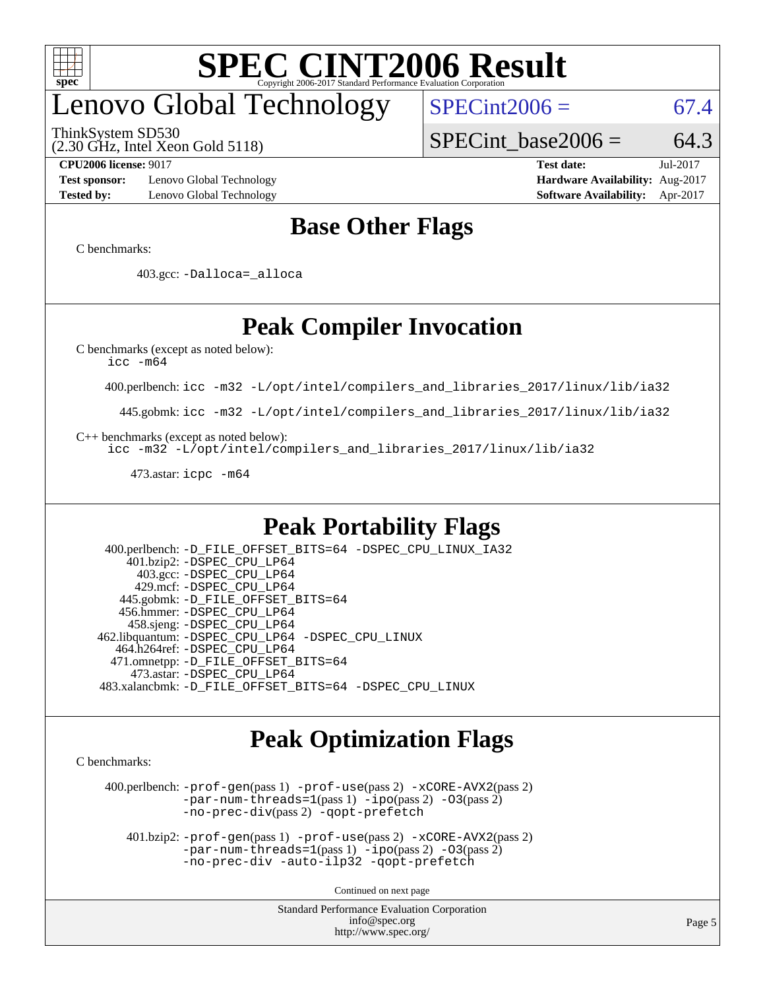

# enovo Global Technology

ThinkSystem SD530

(2.30 GHz, Intel Xeon Gold 5118)

 $SPECint2006 = 67.4$  $SPECint2006 = 67.4$ 

SPECint base2006 =  $64.3$ 

**[Test sponsor:](http://www.spec.org/auto/cpu2006/Docs/result-fields.html#Testsponsor)** Lenovo Global Technology **[Hardware Availability:](http://www.spec.org/auto/cpu2006/Docs/result-fields.html#HardwareAvailability)** Aug-2017 **[Tested by:](http://www.spec.org/auto/cpu2006/Docs/result-fields.html#Testedby)** Lenovo Global Technology **[Software Availability:](http://www.spec.org/auto/cpu2006/Docs/result-fields.html#SoftwareAvailability)** Apr-2017

**[CPU2006 license:](http://www.spec.org/auto/cpu2006/Docs/result-fields.html#CPU2006license)** 9017 **[Test date:](http://www.spec.org/auto/cpu2006/Docs/result-fields.html#Testdate)** Jul-2017

### **[Base Other Flags](http://www.spec.org/auto/cpu2006/Docs/result-fields.html#BaseOtherFlags)**

[C benchmarks](http://www.spec.org/auto/cpu2006/Docs/result-fields.html#Cbenchmarks):

403.gcc: [-Dalloca=\\_alloca](http://www.spec.org/cpu2006/results/res2017q4/cpu2006-20170918-49615.flags.html#b403.gcc_baseEXTRA_CFLAGS_Dalloca_be3056838c12de2578596ca5467af7f3)

## **[Peak Compiler Invocation](http://www.spec.org/auto/cpu2006/Docs/result-fields.html#PeakCompilerInvocation)**

[C benchmarks \(except as noted below\)](http://www.spec.org/auto/cpu2006/Docs/result-fields.html#Cbenchmarksexceptasnotedbelow):

[icc -m64](http://www.spec.org/cpu2006/results/res2017q4/cpu2006-20170918-49615.flags.html#user_CCpeak_intel_icc_64bit_bda6cc9af1fdbb0edc3795bac97ada53)

400.perlbench: [icc -m32 -L/opt/intel/compilers\\_and\\_libraries\\_2017/linux/lib/ia32](http://www.spec.org/cpu2006/results/res2017q4/cpu2006-20170918-49615.flags.html#user_peakCCLD400_perlbench_intel_icc_c29f3ff5a7ed067b11e4ec10a03f03ae)

445.gobmk: [icc -m32 -L/opt/intel/compilers\\_and\\_libraries\\_2017/linux/lib/ia32](http://www.spec.org/cpu2006/results/res2017q4/cpu2006-20170918-49615.flags.html#user_peakCCLD445_gobmk_intel_icc_c29f3ff5a7ed067b11e4ec10a03f03ae)

[C++ benchmarks \(except as noted below\):](http://www.spec.org/auto/cpu2006/Docs/result-fields.html#CXXbenchmarksexceptasnotedbelow)

[icc -m32 -L/opt/intel/compilers\\_and\\_libraries\\_2017/linux/lib/ia32](http://www.spec.org/cpu2006/results/res2017q4/cpu2006-20170918-49615.flags.html#user_CXXpeak_intel_icc_c29f3ff5a7ed067b11e4ec10a03f03ae)

473.astar: [icpc -m64](http://www.spec.org/cpu2006/results/res2017q4/cpu2006-20170918-49615.flags.html#user_peakCXXLD473_astar_intel_icpc_64bit_fc66a5337ce925472a5c54ad6a0de310)

### **[Peak Portability Flags](http://www.spec.org/auto/cpu2006/Docs/result-fields.html#PeakPortabilityFlags)**

 400.perlbench: [-D\\_FILE\\_OFFSET\\_BITS=64](http://www.spec.org/cpu2006/results/res2017q4/cpu2006-20170918-49615.flags.html#user_peakPORTABILITY400_perlbench_file_offset_bits_64_438cf9856305ebd76870a2c6dc2689ab) [-DSPEC\\_CPU\\_LINUX\\_IA32](http://www.spec.org/cpu2006/results/res2017q4/cpu2006-20170918-49615.flags.html#b400.perlbench_peakCPORTABILITY_DSPEC_CPU_LINUX_IA32) 401.bzip2: [-DSPEC\\_CPU\\_LP64](http://www.spec.org/cpu2006/results/res2017q4/cpu2006-20170918-49615.flags.html#suite_peakPORTABILITY401_bzip2_DSPEC_CPU_LP64) 403.gcc: [-DSPEC\\_CPU\\_LP64](http://www.spec.org/cpu2006/results/res2017q4/cpu2006-20170918-49615.flags.html#suite_peakPORTABILITY403_gcc_DSPEC_CPU_LP64) 429.mcf: [-DSPEC\\_CPU\\_LP64](http://www.spec.org/cpu2006/results/res2017q4/cpu2006-20170918-49615.flags.html#suite_peakPORTABILITY429_mcf_DSPEC_CPU_LP64) 445.gobmk: [-D\\_FILE\\_OFFSET\\_BITS=64](http://www.spec.org/cpu2006/results/res2017q4/cpu2006-20170918-49615.flags.html#user_peakPORTABILITY445_gobmk_file_offset_bits_64_438cf9856305ebd76870a2c6dc2689ab) 456.hmmer: [-DSPEC\\_CPU\\_LP64](http://www.spec.org/cpu2006/results/res2017q4/cpu2006-20170918-49615.flags.html#suite_peakPORTABILITY456_hmmer_DSPEC_CPU_LP64) 458.sjeng: [-DSPEC\\_CPU\\_LP64](http://www.spec.org/cpu2006/results/res2017q4/cpu2006-20170918-49615.flags.html#suite_peakPORTABILITY458_sjeng_DSPEC_CPU_LP64) 462.libquantum: [-DSPEC\\_CPU\\_LP64](http://www.spec.org/cpu2006/results/res2017q4/cpu2006-20170918-49615.flags.html#suite_peakPORTABILITY462_libquantum_DSPEC_CPU_LP64) [-DSPEC\\_CPU\\_LINUX](http://www.spec.org/cpu2006/results/res2017q4/cpu2006-20170918-49615.flags.html#b462.libquantum_peakCPORTABILITY_DSPEC_CPU_LINUX) 464.h264ref: [-DSPEC\\_CPU\\_LP64](http://www.spec.org/cpu2006/results/res2017q4/cpu2006-20170918-49615.flags.html#suite_peakPORTABILITY464_h264ref_DSPEC_CPU_LP64) 471.omnetpp: [-D\\_FILE\\_OFFSET\\_BITS=64](http://www.spec.org/cpu2006/results/res2017q4/cpu2006-20170918-49615.flags.html#user_peakPORTABILITY471_omnetpp_file_offset_bits_64_438cf9856305ebd76870a2c6dc2689ab) 473.astar: [-DSPEC\\_CPU\\_LP64](http://www.spec.org/cpu2006/results/res2017q4/cpu2006-20170918-49615.flags.html#suite_peakPORTABILITY473_astar_DSPEC_CPU_LP64) 483.xalancbmk: [-D\\_FILE\\_OFFSET\\_BITS=64](http://www.spec.org/cpu2006/results/res2017q4/cpu2006-20170918-49615.flags.html#user_peakPORTABILITY483_xalancbmk_file_offset_bits_64_438cf9856305ebd76870a2c6dc2689ab) [-DSPEC\\_CPU\\_LINUX](http://www.spec.org/cpu2006/results/res2017q4/cpu2006-20170918-49615.flags.html#b483.xalancbmk_peakCXXPORTABILITY_DSPEC_CPU_LINUX)

### **[Peak Optimization Flags](http://www.spec.org/auto/cpu2006/Docs/result-fields.html#PeakOptimizationFlags)**

[C benchmarks](http://www.spec.org/auto/cpu2006/Docs/result-fields.html#Cbenchmarks):

 400.perlbench: [-prof-gen](http://www.spec.org/cpu2006/results/res2017q4/cpu2006-20170918-49615.flags.html#user_peakPASS1_CFLAGSPASS1_LDCFLAGS400_perlbench_prof_gen_e43856698f6ca7b7e442dfd80e94a8fc)(pass 1) [-prof-use](http://www.spec.org/cpu2006/results/res2017q4/cpu2006-20170918-49615.flags.html#user_peakPASS2_CFLAGSPASS2_LDCFLAGS400_perlbench_prof_use_bccf7792157ff70d64e32fe3e1250b55)(pass 2) [-xCORE-AVX2](http://www.spec.org/cpu2006/results/res2017q4/cpu2006-20170918-49615.flags.html#user_peakPASS2_CFLAGSPASS2_LDCFLAGS400_perlbench_f-xCORE-AVX2)(pass 2) [-par-num-threads=1](http://www.spec.org/cpu2006/results/res2017q4/cpu2006-20170918-49615.flags.html#user_peakPASS1_CFLAGSPASS1_LDCFLAGS400_perlbench_par_num_threads_786a6ff141b4e9e90432e998842df6c2)(pass 1) [-ipo](http://www.spec.org/cpu2006/results/res2017q4/cpu2006-20170918-49615.flags.html#user_peakPASS2_CFLAGSPASS2_LDCFLAGS400_perlbench_f-ipo)(pass 2) [-O3](http://www.spec.org/cpu2006/results/res2017q4/cpu2006-20170918-49615.flags.html#user_peakPASS2_CFLAGSPASS2_LDCFLAGS400_perlbench_f-O3)(pass 2) [-no-prec-div](http://www.spec.org/cpu2006/results/res2017q4/cpu2006-20170918-49615.flags.html#user_peakPASS2_CFLAGSPASS2_LDCFLAGS400_perlbench_f-no-prec-div)(pass 2) [-qopt-prefetch](http://www.spec.org/cpu2006/results/res2017q4/cpu2006-20170918-49615.flags.html#user_peakCOPTIMIZE400_perlbench_f-qopt-prefetch)

 401.bzip2: [-prof-gen](http://www.spec.org/cpu2006/results/res2017q4/cpu2006-20170918-49615.flags.html#user_peakPASS1_CFLAGSPASS1_LDCFLAGS401_bzip2_prof_gen_e43856698f6ca7b7e442dfd80e94a8fc)(pass 1) [-prof-use](http://www.spec.org/cpu2006/results/res2017q4/cpu2006-20170918-49615.flags.html#user_peakPASS2_CFLAGSPASS2_LDCFLAGS401_bzip2_prof_use_bccf7792157ff70d64e32fe3e1250b55)(pass 2) [-xCORE-AVX2](http://www.spec.org/cpu2006/results/res2017q4/cpu2006-20170918-49615.flags.html#user_peakPASS2_CFLAGSPASS2_LDCFLAGS401_bzip2_f-xCORE-AVX2)(pass 2)  $-par-num-threads=1(pass 1) -ipo(pass 2) -O3(pass 2)$  $-par-num-threads=1(pass 1) -ipo(pass 2) -O3(pass 2)$  $-par-num-threads=1(pass 1) -ipo(pass 2) -O3(pass 2)$  $-par-num-threads=1(pass 1) -ipo(pass 2) -O3(pass 2)$  $-par-num-threads=1(pass 1) -ipo(pass 2) -O3(pass 2)$  $-par-num-threads=1(pass 1) -ipo(pass 2) -O3(pass 2)$ [-no-prec-div](http://www.spec.org/cpu2006/results/res2017q4/cpu2006-20170918-49615.flags.html#user_peakCOPTIMIZEPASS2_CFLAGSPASS2_LDCFLAGS401_bzip2_f-no-prec-div) [-auto-ilp32](http://www.spec.org/cpu2006/results/res2017q4/cpu2006-20170918-49615.flags.html#user_peakCOPTIMIZE401_bzip2_f-auto-ilp32) [-qopt-prefetch](http://www.spec.org/cpu2006/results/res2017q4/cpu2006-20170918-49615.flags.html#user_peakCOPTIMIZE401_bzip2_f-qopt-prefetch)

Continued on next page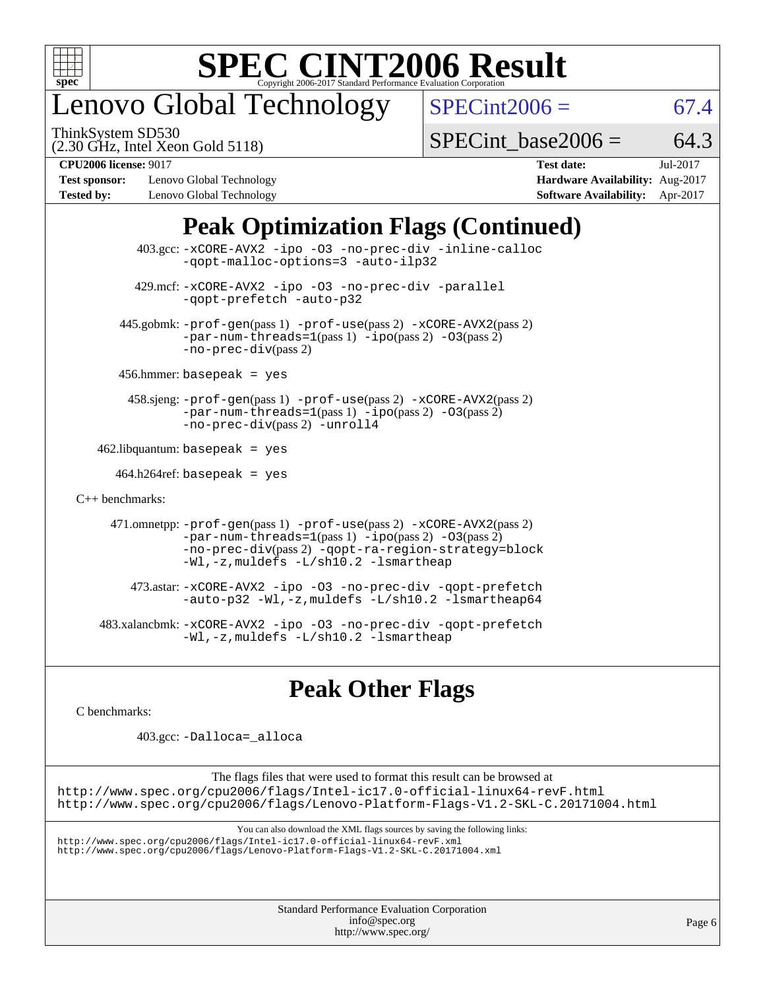

# enovo Global Technology

ThinkSystem SD530

 $SPECint2006 = 67.4$  $SPECint2006 = 67.4$ 

(2.30 GHz, Intel Xeon Gold 5118)

SPECint base2006 =  $64.3$ 

**[Test sponsor:](http://www.spec.org/auto/cpu2006/Docs/result-fields.html#Testsponsor)** Lenovo Global Technology **[Hardware Availability:](http://www.spec.org/auto/cpu2006/Docs/result-fields.html#HardwareAvailability)** Aug-2017 **[Tested by:](http://www.spec.org/auto/cpu2006/Docs/result-fields.html#Testedby)** Lenovo Global Technology **[Software Availability:](http://www.spec.org/auto/cpu2006/Docs/result-fields.html#SoftwareAvailability)** Apr-2017

**[CPU2006 license:](http://www.spec.org/auto/cpu2006/Docs/result-fields.html#CPU2006license)** 9017 **[Test date:](http://www.spec.org/auto/cpu2006/Docs/result-fields.html#Testdate)** Jul-2017

## **[Peak Optimization Flags \(Continued\)](http://www.spec.org/auto/cpu2006/Docs/result-fields.html#PeakOptimizationFlags)**

 403.gcc: [-xCORE-AVX2](http://www.spec.org/cpu2006/results/res2017q4/cpu2006-20170918-49615.flags.html#user_peakOPTIMIZE403_gcc_f-xCORE-AVX2) [-ipo](http://www.spec.org/cpu2006/results/res2017q4/cpu2006-20170918-49615.flags.html#user_peakOPTIMIZE403_gcc_f-ipo) [-O3](http://www.spec.org/cpu2006/results/res2017q4/cpu2006-20170918-49615.flags.html#user_peakOPTIMIZE403_gcc_f-O3) [-no-prec-div](http://www.spec.org/cpu2006/results/res2017q4/cpu2006-20170918-49615.flags.html#user_peakOPTIMIZE403_gcc_f-no-prec-div) [-inline-calloc](http://www.spec.org/cpu2006/results/res2017q4/cpu2006-20170918-49615.flags.html#user_peakCOPTIMIZE403_gcc_f-inline-calloc) [-qopt-malloc-options=3](http://www.spec.org/cpu2006/results/res2017q4/cpu2006-20170918-49615.flags.html#user_peakCOPTIMIZE403_gcc_f-qopt-malloc-options_0fcb435012e78f27d57f473818e45fe4) [-auto-ilp32](http://www.spec.org/cpu2006/results/res2017q4/cpu2006-20170918-49615.flags.html#user_peakCOPTIMIZE403_gcc_f-auto-ilp32) 429.mcf: [-xCORE-AVX2](http://www.spec.org/cpu2006/results/res2017q4/cpu2006-20170918-49615.flags.html#user_peakOPTIMIZE429_mcf_f-xCORE-AVX2) [-ipo](http://www.spec.org/cpu2006/results/res2017q4/cpu2006-20170918-49615.flags.html#user_peakOPTIMIZE429_mcf_f-ipo) [-O3](http://www.spec.org/cpu2006/results/res2017q4/cpu2006-20170918-49615.flags.html#user_peakOPTIMIZE429_mcf_f-O3) [-no-prec-div](http://www.spec.org/cpu2006/results/res2017q4/cpu2006-20170918-49615.flags.html#user_peakOPTIMIZE429_mcf_f-no-prec-div) [-parallel](http://www.spec.org/cpu2006/results/res2017q4/cpu2006-20170918-49615.flags.html#user_peakCOPTIMIZE429_mcf_f-parallel) [-qopt-prefetch](http://www.spec.org/cpu2006/results/res2017q4/cpu2006-20170918-49615.flags.html#user_peakCOPTIMIZE429_mcf_f-qopt-prefetch) [-auto-p32](http://www.spec.org/cpu2006/results/res2017q4/cpu2006-20170918-49615.flags.html#user_peakCOPTIMIZE429_mcf_f-auto-p32) 445.gobmk: [-prof-gen](http://www.spec.org/cpu2006/results/res2017q4/cpu2006-20170918-49615.flags.html#user_peakPASS1_CFLAGSPASS1_LDCFLAGS445_gobmk_prof_gen_e43856698f6ca7b7e442dfd80e94a8fc)(pass 1) [-prof-use](http://www.spec.org/cpu2006/results/res2017q4/cpu2006-20170918-49615.flags.html#user_peakPASS2_CFLAGSPASS2_LDCFLAGS445_gobmk_prof_use_bccf7792157ff70d64e32fe3e1250b55)(pass 2) [-xCORE-AVX2](http://www.spec.org/cpu2006/results/res2017q4/cpu2006-20170918-49615.flags.html#user_peakPASS2_CFLAGSPASS2_LDCFLAGS445_gobmk_f-xCORE-AVX2)(pass 2)  $-par-num-threads=1(pass 1) -ipo(pass 2) -O3(pass 2)$  $-par-num-threads=1(pass 1) -ipo(pass 2) -O3(pass 2)$  $-par-num-threads=1(pass 1) -ipo(pass 2) -O3(pass 2)$  $-par-num-threads=1(pass 1) -ipo(pass 2) -O3(pass 2)$  $-par-num-threads=1(pass 1) -ipo(pass 2) -O3(pass 2)$  $-par-num-threads=1(pass 1) -ipo(pass 2) -O3(pass 2)$ [-no-prec-div](http://www.spec.org/cpu2006/results/res2017q4/cpu2006-20170918-49615.flags.html#user_peakPASS2_CFLAGSPASS2_LDCFLAGS445_gobmk_f-no-prec-div)(pass 2) 456.hmmer: basepeak = yes 458.sjeng: [-prof-gen](http://www.spec.org/cpu2006/results/res2017q4/cpu2006-20170918-49615.flags.html#user_peakPASS1_CFLAGSPASS1_LDCFLAGS458_sjeng_prof_gen_e43856698f6ca7b7e442dfd80e94a8fc)(pass 1) [-prof-use](http://www.spec.org/cpu2006/results/res2017q4/cpu2006-20170918-49615.flags.html#user_peakPASS2_CFLAGSPASS2_LDCFLAGS458_sjeng_prof_use_bccf7792157ff70d64e32fe3e1250b55)(pass 2) [-xCORE-AVX2](http://www.spec.org/cpu2006/results/res2017q4/cpu2006-20170918-49615.flags.html#user_peakPASS2_CFLAGSPASS2_LDCFLAGS458_sjeng_f-xCORE-AVX2)(pass 2) [-par-num-threads=1](http://www.spec.org/cpu2006/results/res2017q4/cpu2006-20170918-49615.flags.html#user_peakPASS1_CFLAGSPASS1_LDCFLAGS458_sjeng_par_num_threads_786a6ff141b4e9e90432e998842df6c2)(pass 1) [-ipo](http://www.spec.org/cpu2006/results/res2017q4/cpu2006-20170918-49615.flags.html#user_peakPASS2_CFLAGSPASS2_LDCFLAGS458_sjeng_f-ipo)(pass 2) [-O3](http://www.spec.org/cpu2006/results/res2017q4/cpu2006-20170918-49615.flags.html#user_peakPASS2_CFLAGSPASS2_LDCFLAGS458_sjeng_f-O3)(pass 2) [-no-prec-div](http://www.spec.org/cpu2006/results/res2017q4/cpu2006-20170918-49615.flags.html#user_peakPASS2_CFLAGSPASS2_LDCFLAGS458_sjeng_f-no-prec-div)(pass 2) [-unroll4](http://www.spec.org/cpu2006/results/res2017q4/cpu2006-20170918-49615.flags.html#user_peakCOPTIMIZE458_sjeng_f-unroll_4e5e4ed65b7fd20bdcd365bec371b81f)  $462$ .libquantum: basepeak = yes  $464.h264$ ref: basepeak = yes [C++ benchmarks:](http://www.spec.org/auto/cpu2006/Docs/result-fields.html#CXXbenchmarks) 471.omnetpp: [-prof-gen](http://www.spec.org/cpu2006/results/res2017q4/cpu2006-20170918-49615.flags.html#user_peakPASS1_CXXFLAGSPASS1_LDCXXFLAGS471_omnetpp_prof_gen_e43856698f6ca7b7e442dfd80e94a8fc)(pass 1) [-prof-use](http://www.spec.org/cpu2006/results/res2017q4/cpu2006-20170918-49615.flags.html#user_peakPASS2_CXXFLAGSPASS2_LDCXXFLAGS471_omnetpp_prof_use_bccf7792157ff70d64e32fe3e1250b55)(pass 2) [-xCORE-AVX2](http://www.spec.org/cpu2006/results/res2017q4/cpu2006-20170918-49615.flags.html#user_peakPASS2_CXXFLAGSPASS2_LDCXXFLAGS471_omnetpp_f-xCORE-AVX2)(pass 2)  $-par-num-threads=1(pass 1) -ipo(pass 2) -O3(pass 2)$  $-par-num-threads=1(pass 1) -ipo(pass 2) -O3(pass 2)$  $-par-num-threads=1(pass 1) -ipo(pass 2) -O3(pass 2)$  $-par-num-threads=1(pass 1) -ipo(pass 2) -O3(pass 2)$  $-par-num-threads=1(pass 1) -ipo(pass 2) -O3(pass 2)$  $-par-num-threads=1(pass 1) -ipo(pass 2) -O3(pass 2)$ [-no-prec-div](http://www.spec.org/cpu2006/results/res2017q4/cpu2006-20170918-49615.flags.html#user_peakPASS2_CXXFLAGSPASS2_LDCXXFLAGS471_omnetpp_f-no-prec-div)(pass 2) [-qopt-ra-region-strategy=block](http://www.spec.org/cpu2006/results/res2017q4/cpu2006-20170918-49615.flags.html#user_peakCXXOPTIMIZE471_omnetpp_f-qopt-ra-region-strategy_0f7b543d62da454b380160c0e3b28f94) [-Wl,-z,muldefs](http://www.spec.org/cpu2006/results/res2017q4/cpu2006-20170918-49615.flags.html#user_peakEXTRA_LDFLAGS471_omnetpp_link_force_multiple1_74079c344b956b9658436fd1b6dd3a8a) [-L/sh10.2 -lsmartheap](http://www.spec.org/cpu2006/results/res2017q4/cpu2006-20170918-49615.flags.html#user_peakEXTRA_LIBS471_omnetpp_SmartHeap_b831f2d313e2fffa6dfe3f00ffc1f1c0) 473.astar: [-xCORE-AVX2](http://www.spec.org/cpu2006/results/res2017q4/cpu2006-20170918-49615.flags.html#user_peakOPTIMIZE473_astar_f-xCORE-AVX2) [-ipo](http://www.spec.org/cpu2006/results/res2017q4/cpu2006-20170918-49615.flags.html#user_peakOPTIMIZE473_astar_f-ipo) [-O3](http://www.spec.org/cpu2006/results/res2017q4/cpu2006-20170918-49615.flags.html#user_peakOPTIMIZE473_astar_f-O3) [-no-prec-div](http://www.spec.org/cpu2006/results/res2017q4/cpu2006-20170918-49615.flags.html#user_peakOPTIMIZE473_astar_f-no-prec-div) [-qopt-prefetch](http://www.spec.org/cpu2006/results/res2017q4/cpu2006-20170918-49615.flags.html#user_peakCXXOPTIMIZE473_astar_f-qopt-prefetch) [-auto-p32](http://www.spec.org/cpu2006/results/res2017q4/cpu2006-20170918-49615.flags.html#user_peakCXXOPTIMIZE473_astar_f-auto-p32) [-Wl,-z,muldefs](http://www.spec.org/cpu2006/results/res2017q4/cpu2006-20170918-49615.flags.html#user_peakEXTRA_LDFLAGS473_astar_link_force_multiple1_74079c344b956b9658436fd1b6dd3a8a) [-L/sh10.2 -lsmartheap64](http://www.spec.org/cpu2006/results/res2017q4/cpu2006-20170918-49615.flags.html#user_peakEXTRA_LIBS473_astar_SmartHeap64_63911d860fc08c15fa1d5bf319b9d8d5) 483.xalancbmk: [-xCORE-AVX2](http://www.spec.org/cpu2006/results/res2017q4/cpu2006-20170918-49615.flags.html#user_peakOPTIMIZE483_xalancbmk_f-xCORE-AVX2) [-ipo](http://www.spec.org/cpu2006/results/res2017q4/cpu2006-20170918-49615.flags.html#user_peakOPTIMIZE483_xalancbmk_f-ipo) [-O3](http://www.spec.org/cpu2006/results/res2017q4/cpu2006-20170918-49615.flags.html#user_peakOPTIMIZE483_xalancbmk_f-O3) [-no-prec-div](http://www.spec.org/cpu2006/results/res2017q4/cpu2006-20170918-49615.flags.html#user_peakOPTIMIZE483_xalancbmk_f-no-prec-div) [-qopt-prefetch](http://www.spec.org/cpu2006/results/res2017q4/cpu2006-20170918-49615.flags.html#user_peakCXXOPTIMIZE483_xalancbmk_f-qopt-prefetch) [-Wl,-z,muldefs](http://www.spec.org/cpu2006/results/res2017q4/cpu2006-20170918-49615.flags.html#user_peakEXTRA_LDFLAGS483_xalancbmk_link_force_multiple1_74079c344b956b9658436fd1b6dd3a8a) [-L/sh10.2 -lsmartheap](http://www.spec.org/cpu2006/results/res2017q4/cpu2006-20170918-49615.flags.html#user_peakEXTRA_LIBS483_xalancbmk_SmartHeap_b831f2d313e2fffa6dfe3f00ffc1f1c0)

## **[Peak Other Flags](http://www.spec.org/auto/cpu2006/Docs/result-fields.html#PeakOtherFlags)**

[C benchmarks](http://www.spec.org/auto/cpu2006/Docs/result-fields.html#Cbenchmarks):

403.gcc: [-Dalloca=\\_alloca](http://www.spec.org/cpu2006/results/res2017q4/cpu2006-20170918-49615.flags.html#b403.gcc_peakEXTRA_CFLAGS_Dalloca_be3056838c12de2578596ca5467af7f3)

The flags files that were used to format this result can be browsed at <http://www.spec.org/cpu2006/flags/Intel-ic17.0-official-linux64-revF.html> <http://www.spec.org/cpu2006/flags/Lenovo-Platform-Flags-V1.2-SKL-C.20171004.html>

You can also download the XML flags sources by saving the following links:

<http://www.spec.org/cpu2006/flags/Intel-ic17.0-official-linux64-revF.xml> <http://www.spec.org/cpu2006/flags/Lenovo-Platform-Flags-V1.2-SKL-C.20171004.xml>